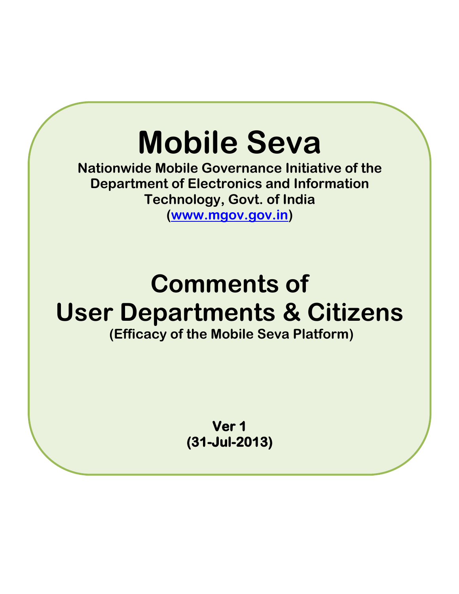## **Mobile Seva**

**Nationwide Mobile Governance Initiative of the Department of Electronics and Information Technology, Govt. of India**

Comments of User **[\(www.mgov.gov.in\)](http://www.mgov.gov.in/)** 

## **Comments of User Departments & Citizens (Efficacy of the Mobile Seva Platform)**

**Ver 1 (31-Jul-2013)**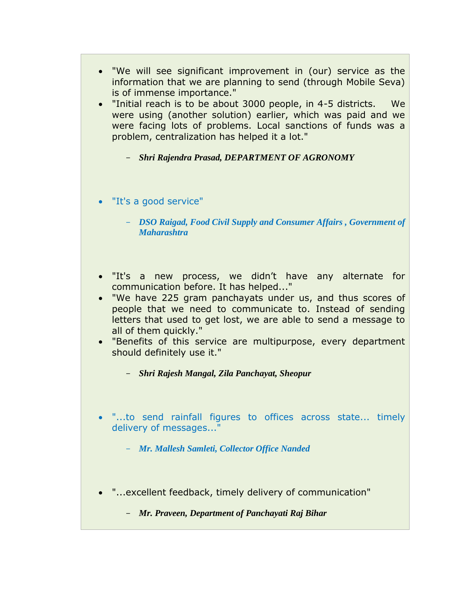- "We will see significant improvement in (our) service as the information that we are planning to send (through Mobile Seva) is of immense importance."
- "Initial reach is to be about 3000 people, in 4-5 districts. We were using (another solution) earlier, which was paid and we were facing lots of problems. Local sanctions of funds was a problem, centralization has helped it a lot."
	- *Shri Rajendra Prasad, DEPARTMENT OF AGRONOMY*
- "It's a good service"
	- *DSO Raigad, Food Civil Supply and Consumer Affairs , Government of Maharashtra*
- "It's a new process, we didn't have any alternate for communication before. It has helped..."
- "We have 225 gram panchayats under us, and thus scores of people that we need to communicate to. Instead of sending letters that used to get lost, we are able to send a message to all of them quickly."
- "Benefits of this service are multipurpose, every department should definitely use it."
	- *Shri Rajesh Mangal, Zila Panchayat, Sheopur*
- "...to send rainfall figures to offices across state... timely delivery of messages..."
	- *Mr. Mallesh Samleti, Collector Office Nanded*
- "...excellent feedback, timely delivery of communication"
	- *Mr. Praveen, Department of Panchayati Raj Bihar*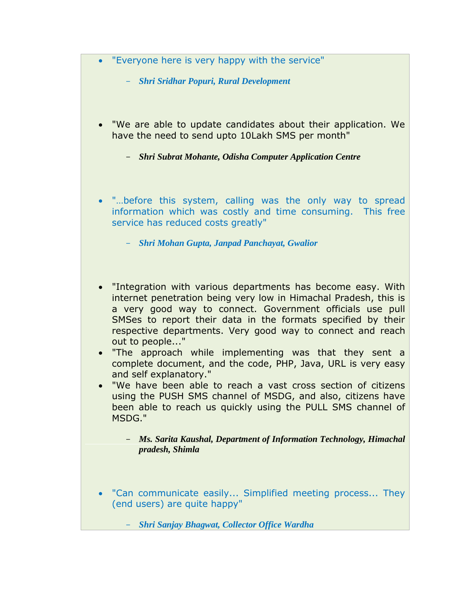- "Everyone here is very happy with the service"
	- *Shri Sridhar Popuri, Rural Development*
- "We are able to update candidates about their application. We have the need to send upto 10Lakh SMS per month"
	- *Shri Subrat Mohante, Odisha Computer Application Centre*
- "…before this system, calling was the only way to spread information which was costly and time consuming. This free service has reduced costs greatly"
	- *Shri Mohan Gupta, Janpad Panchayat, Gwalior*
- "Integration with various departments has become easy. With internet penetration being very low in Himachal Pradesh, this is a very good way to connect. Government officials use pull SMSes to report their data in the formats specified by their respective departments. Very good way to connect and reach out to people..."
- "The approach while implementing was that they sent a complete document, and the code, PHP, Java, URL is very easy and self explanatory."
- "We have been able to reach a vast cross section of citizens using the PUSH SMS channel of MSDG, and also, citizens have been able to reach us quickly using the PULL SMS channel of MSDG."
	- *Ms. Sarita Kaushal, Department of Information Technology, Himachal pradesh, Shimla*
- "Can communicate easily... Simplified meeting process... They (end users) are quite happy"
	- *Shri Sanjay Bhagwat, Collector Office Wardha*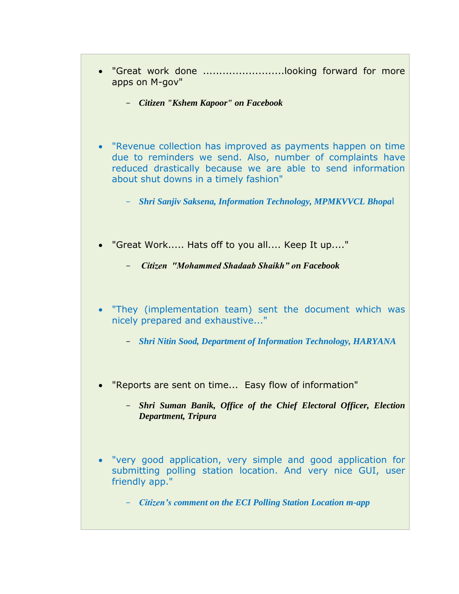- "Great work done .........................looking forward for more apps on M-gov"
	- *Citizen "Kshem Kapoor" on Facebook*
- "Revenue collection has improved as payments happen on time due to reminders we send. Also, number of complaints have reduced drastically because we are able to send information about shut downs in a timely fashion"
	- *Shri Sanjiv Saksena, Information Technology, MPMKVVCL Bhopa*l
- "Great Work..... Hats off to you all.... Keep It up...."
	- *Citizen "Mohammed Shadaab Shaikh" on Facebook*
- "They (implementation team) sent the document which was nicely prepared and exhaustive..."
	- *Shri Nitin Sood, Department of Information Technology, HARYANA*
- "Reports are sent on time... Easy flow of information"
	- *Shri Suman Banik, Office of the Chief Electoral Officer, Election Department, Tripura*
- "very good application, very simple and good application for submitting polling station location. And very nice GUI, user friendly app."
	- *Citizen's comment on the ECI Polling Station Location m-app*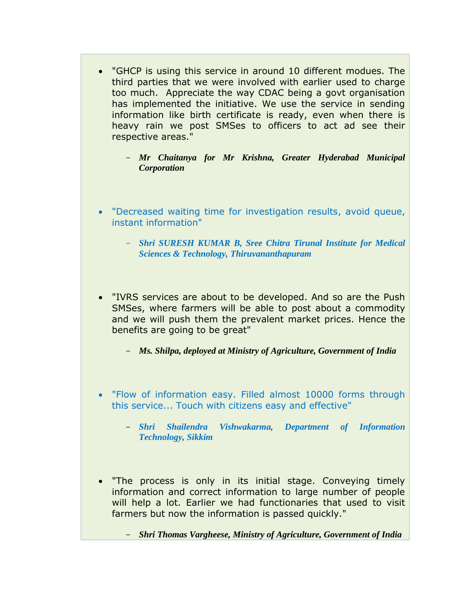- "GHCP is using this service in around 10 different modues. The third parties that we were involved with earlier used to charge too much. Appreciate the way CDAC being a govt organisation has implemented the initiative. We use the service in sending information like birth certificate is ready, even when there is heavy rain we post SMSes to officers to act ad see their respective areas."
	- *Mr Chaitanya for Mr Krishna, Greater Hyderabad Municipal Corporation*
- "Decreased waiting time for investigation results, avoid queue, instant information"
	- *Shri SURESH KUMAR B, Sree Chitra Tirunal Institute for Medical Sciences & Technology, Thiruvananthapuram*
- "IVRS services are about to be developed. And so are the Push SMSes, where farmers will be able to post about a commodity and we will push them the prevalent market prices. Hence the benefits are going to be great"
	- *Ms. Shilpa, deployed at Ministry of Agriculture, Government of India*
- "Flow of information easy. Filled almost 10000 forms through this service... Touch with citizens easy and effective"
	- *Shri Shailendra Vishwakarma, Department of Information Technology, Sikkim*
- "The process is only in its initial stage. Conveying timely information and correct information to large number of people will help a lot. Earlier we had functionaries that used to visit farmers but now the information is passed quickly."
	- *Shri Thomas Vargheese, Ministry of Agriculture, Government of India*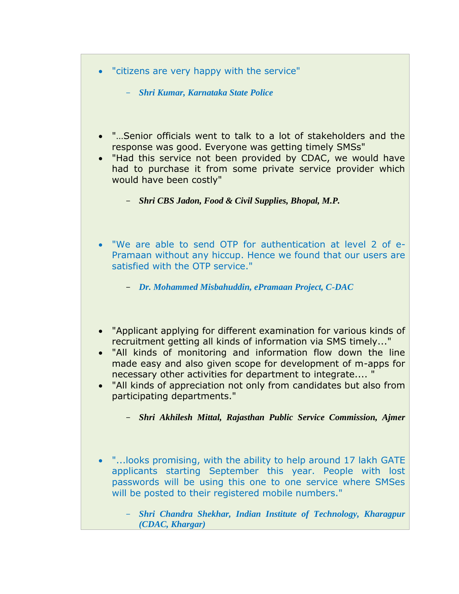- "citizens are very happy with the service"
	- *Shri Kumar, Karnataka State Police*
- "…Senior officials went to talk to a lot of stakeholders and the response was good. Everyone was getting timely SMSs"
- "Had this service not been provided by CDAC, we would have had to purchase it from some private service provider which would have been costly"
	- *Shri CBS Jadon, Food & Civil Supplies, Bhopal, M.P.*
- "We are able to send OTP for authentication at level 2 of e-Pramaan without any hiccup. Hence we found that our users are satisfied with the OTP service."
	- *Dr. Mohammed Misbahuddin, ePramaan Project, C-DAC*
- "Applicant applying for different examination for various kinds of recruitment getting all kinds of information via SMS timely..."
- "All kinds of monitoring and information flow down the line made easy and also given scope for development of m-apps for necessary other activities for department to integrate.... "
- "All kinds of appreciation not only from candidates but also from participating departments."
	- *Shri Akhilesh Mittal, Rajasthan Public Service Commission, Ajmer*
- "...looks promising, with the ability to help around 17 lakh GATE applicants starting September this year. People with lost passwords will be using this one to one service where SMSes will be posted to their registered mobile numbers."
	- *Shri Chandra Shekhar, Indian Institute of Technology, Kharagpur (CDAC, Khargar)*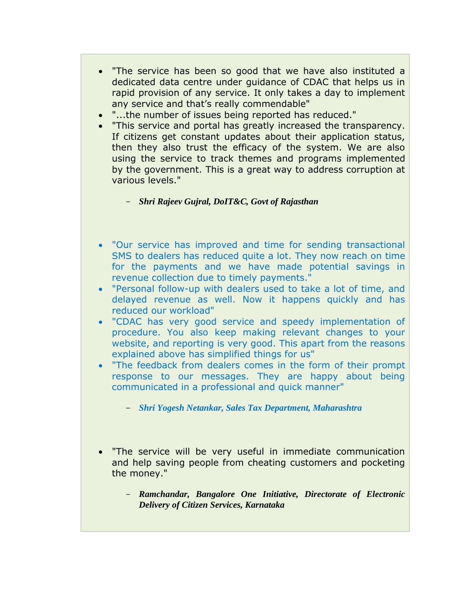- "The service has been so good that we have also instituted a dedicated data centre under guidance of CDAC that helps us in rapid provision of any service. It only takes a day to implement any service and that's really commendable"
- "...the number of issues being reported has reduced."
- "This service and portal has greatly increased the transparency. If citizens get constant updates about their application status, then they also trust the efficacy of the system. We are also using the service to track themes and programs implemented by the government. This is a great way to address corruption at various levels."

- *Shri Rajeev Gujral, DoIT&C, Govt of Rajasthan*

- "Our service has improved and time for sending transactional SMS to dealers has reduced quite a lot. They now reach on time for the payments and we have made potential savings in revenue collection due to timely payments."
- "Personal follow-up with dealers used to take a lot of time, and delayed revenue as well. Now it happens quickly and has reduced our workload"
- "CDAC has very good service and speedy implementation of procedure. You also keep making relevant changes to your website, and reporting is very good. This apart from the reasons explained above has simplified things for us"
- "The feedback from dealers comes in the form of their prompt response to our messages. They are happy about being communicated in a professional and quick manner"
	- *Shri Yogesh Netankar, Sales Tax Department, Maharashtra*
- "The service will be very useful in immediate communication and help saving people from cheating customers and pocketing the money."
	- *Ramchandar, Bangalore One Initiative, Directorate of Electronic Delivery of Citizen Services, Karnataka*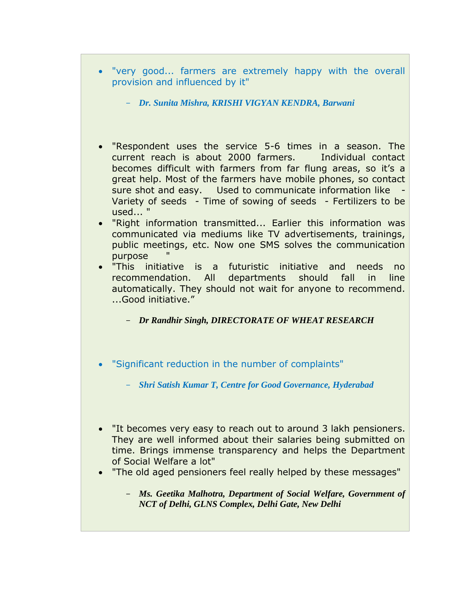- "very good... farmers are extremely happy with the overall provision and influenced by it"
	- *Dr. Sunita Mishra, KRISHI VIGYAN KENDRA, Barwani*
- "Respondent uses the service 5-6 times in a season. The current reach is about 2000 farmers. Individual contact becomes difficult with farmers from far flung areas, so it's a great help. Most of the farmers have mobile phones, so contact sure shot and easy. Used to communicate information like - Variety of seeds - Time of sowing of seeds - Fertilizers to be used... "
- "Right information transmitted... Earlier this information was communicated via mediums like TV advertisements, trainings, public meetings, etc. Now one SMS solves the communication purpose
- "This initiative is a futuristic initiative and needs no recommendation. All departments should fall in line automatically. They should not wait for anyone to recommend. ...Good initiative."

- *Dr Randhir Singh, DIRECTORATE OF WHEAT RESEARCH*

- "Significant reduction in the number of complaints"
	- *Shri Satish Kumar T, Centre for Good Governance, Hyderabad*
- "It becomes very easy to reach out to around 3 lakh pensioners. They are well informed about their salaries being submitted on time. Brings immense transparency and helps the Department of Social Welfare a lot"
- "The old aged pensioners feel really helped by these messages"
	- *Ms. Geetika Malhotra, Department of Social Welfare, Government of NCT of Delhi, GLNS Complex, Delhi Gate, New Delhi*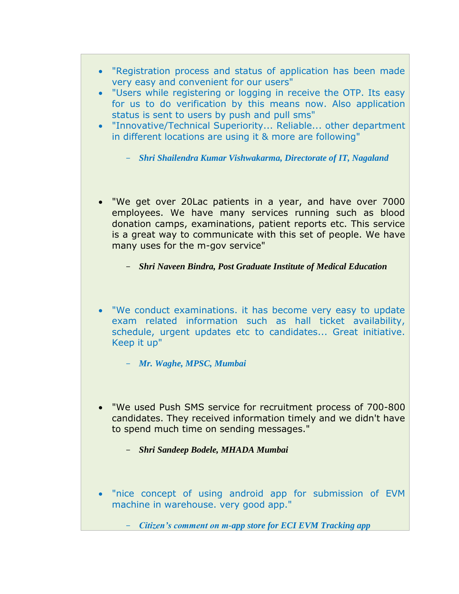- "Registration process and status of application has been made very easy and convenient for our users"
- "Users while registering or logging in receive the OTP. Its easy for us to do verification by this means now. Also application status is sent to users by push and pull sms"
- "Innovative/Technical Superiority... Reliable... other department in different locations are using it & more are following"
	- *Shri Shailendra Kumar Vishwakarma, Directorate of IT, Nagaland*
- "We get over 20Lac patients in a year, and have over 7000 employees. We have many services running such as blood donation camps, examinations, patient reports etc. This service is a great way to communicate with this set of people. We have many uses for the m-gov service"
	- *Shri Naveen Bindra, Post Graduate Institute of Medical Education*
- "We conduct examinations. it has become very easy to update exam related information such as hall ticket availability, schedule, urgent updates etc to candidates... Great initiative. Keep it up"
	- *Mr. Waghe, MPSC, Mumbai*
- "We used Push SMS service for recruitment process of 700-800 candidates. They received information timely and we didn't have to spend much time on sending messages."
	- *Shri Sandeep Bodele, MHADA Mumbai*
- "nice concept of using android app for submission of EVM machine in warehouse. very good app."
	- *Citizen's comment on m-app store for ECI EVM Tracking app*